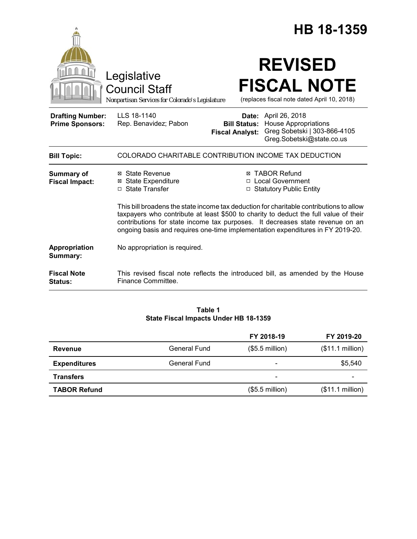|                                                   |                                                                                                                                                                                                                                                                                                                                                    |                                               |                                                                                         | HB 18-1359                                                        |
|---------------------------------------------------|----------------------------------------------------------------------------------------------------------------------------------------------------------------------------------------------------------------------------------------------------------------------------------------------------------------------------------------------------|-----------------------------------------------|-----------------------------------------------------------------------------------------|-------------------------------------------------------------------|
|                                                   | Legislative<br><b>Council Staff</b><br>Nonpartisan Services for Colorado's Legislature                                                                                                                                                                                                                                                             |                                               | <b>REVISED</b>                                                                          | <b>FISCAL NOTE</b><br>(replaces fiscal note dated April 10, 2018) |
| <b>Drafting Number:</b><br><b>Prime Sponsors:</b> | LLS 18-1140<br>Rep. Benavidez; Pabon                                                                                                                                                                                                                                                                                                               | <b>Bill Status:</b><br><b>Fiscal Analyst:</b> | <b>Date:</b> April 26, 2018<br><b>House Appropriations</b><br>Greg.Sobetski@state.co.us | Greg Sobetski   303-866-4105                                      |
| <b>Bill Topic:</b>                                | COLORADO CHARITABLE CONTRIBUTION INCOME TAX DEDUCTION                                                                                                                                                                                                                                                                                              |                                               |                                                                                         |                                                                   |
| Summary of<br><b>Fiscal Impact:</b>               | ⊠ State Revenue<br><b>⊠</b> State Expenditure<br>□ State Transfer                                                                                                                                                                                                                                                                                  |                                               | ⊠ TABOR Refund<br>□ Local Government<br>□ Statutory Public Entity                       |                                                                   |
|                                                   | This bill broadens the state income tax deduction for charitable contributions to allow<br>taxpayers who contribute at least \$500 to charity to deduct the full value of their<br>contributions for state income tax purposes. It decreases state revenue on an<br>ongoing basis and requires one-time implementation expenditures in FY 2019-20. |                                               |                                                                                         |                                                                   |
| Appropriation<br>Summary:                         | No appropriation is required.                                                                                                                                                                                                                                                                                                                      |                                               |                                                                                         |                                                                   |
| <b>Fiscal Note</b><br><b>Status:</b>              | This revised fiscal note reflects the introduced bill, as amended by the House<br>Finance Committee.                                                                                                                                                                                                                                               |                                               |                                                                                         |                                                                   |

## **Table 1 State Fiscal Impacts Under HB 18-1359**

|                     |              | FY 2018-19                   | FY 2019-20               |
|---------------------|--------------|------------------------------|--------------------------|
| Revenue             | General Fund | $($5.5$ million)             | (\$11.1 million)         |
| <b>Expenditures</b> | General Fund | $\overline{\phantom{a}}$     | \$5,540                  |
| <b>Transfers</b>    |              | $\qquad \qquad \blacksquare$ | $\overline{\phantom{0}}$ |
| <b>TABOR Refund</b> |              | $($5.5$ million)             | (\$11.1 million)         |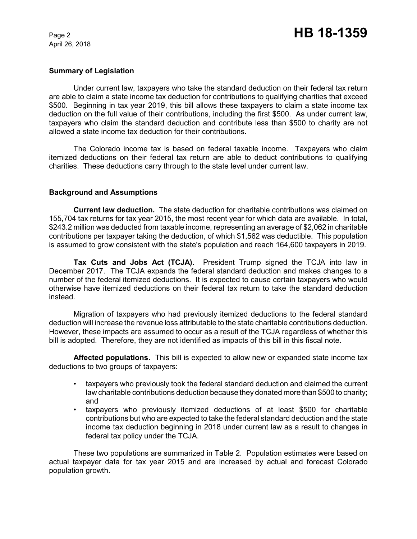April 26, 2018

#### **Summary of Legislation**

Under current law, taxpayers who take the standard deduction on their federal tax return are able to claim a state income tax deduction for contributions to qualifying charities that exceed \$500. Beginning in tax year 2019, this bill allows these taxpayers to claim a state income tax deduction on the full value of their contributions, including the first \$500. As under current law, taxpayers who claim the standard deduction and contribute less than \$500 to charity are not allowed a state income tax deduction for their contributions.

The Colorado income tax is based on federal taxable income. Taxpayers who claim itemized deductions on their federal tax return are able to deduct contributions to qualifying charities. These deductions carry through to the state level under current law.

## **Background and Assumptions**

**Current law deduction.** The state deduction for charitable contributions was claimed on 155,704 tax returns for tax year 2015, the most recent year for which data are available. In total, \$243.2 million was deducted from taxable income, representing an average of \$2,062 in charitable contributions per taxpayer taking the deduction, of which \$1,562 was deductible. This population is assumed to grow consistent with the state's population and reach 164,600 taxpayers in 2019.

**Tax Cuts and Jobs Act (TCJA).** President Trump signed the TCJA into law in December 2017. The TCJA expands the federal standard deduction and makes changes to a number of the federal itemized deductions. It is expected to cause certain taxpayers who would otherwise have itemized deductions on their federal tax return to take the standard deduction instead.

Migration of taxpayers who had previously itemized deductions to the federal standard deduction will increase the revenue loss attributable to the state charitable contributions deduction. However, these impacts are assumed to occur as a result of the TCJA regardless of whether this bill is adopted. Therefore, they are not identified as impacts of this bill in this fiscal note.

**Affected populations.** This bill is expected to allow new or expanded state income tax deductions to two groups of taxpayers:

- taxpayers who previously took the federal standard deduction and claimed the current law charitable contributions deduction because they donated more than \$500 to charity; and
- taxpayers who previously itemized deductions of at least \$500 for charitable contributions but who are expected to take the federal standard deduction and the state income tax deduction beginning in 2018 under current law as a result to changes in federal tax policy under the TCJA.

These two populations are summarized in Table 2. Population estimates were based on actual taxpayer data for tax year 2015 and are increased by actual and forecast Colorado population growth.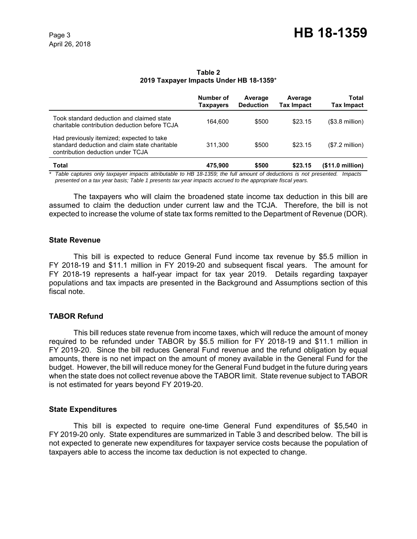|                                                                                                                                 | Number of<br><b>Taxpayers</b> | Average<br><b>Deduction</b> | Average<br><b>Tax Impact</b> | Total<br><b>Tax Impact</b> |
|---------------------------------------------------------------------------------------------------------------------------------|-------------------------------|-----------------------------|------------------------------|----------------------------|
| Took standard deduction and claimed state<br>charitable contribution deduction before TCJA                                      | 164.600                       | \$500                       | \$23.15                      | $($3.8$ million)           |
| Had previously itemized; expected to take<br>standard deduction and claim state charitable<br>contribution deduction under TCJA | 311.300                       | \$500                       | \$23.15                      | $($7.2$ million)           |
| Total                                                                                                                           | 475.900                       | \$500                       | \$23.15                      | (\$11.0 million)           |

#### **Table 2 2019 Taxpayer Impacts Under HB 18-1359**\*

*\* Table captures only taxpayer impacts attributable to HB 18-1359; the full amount of deductions is not presented. Impacts presented on a tax year basis; Table 1 presents tax year impacts accrued to the appropriate fiscal years.*

The taxpayers who will claim the broadened state income tax deduction in this bill are assumed to claim the deduction under current law and the TCJA. Therefore, the bill is not expected to increase the volume of state tax forms remitted to the Department of Revenue (DOR).

## **State Revenue**

This bill is expected to reduce General Fund income tax revenue by \$5.5 million in FY 2018-19 and \$11.1 million in FY 2019-20 and subsequent fiscal years. The amount for FY 2018-19 represents a half-year impact for tax year 2019. Details regarding taxpayer populations and tax impacts are presented in the Background and Assumptions section of this fiscal note.

# **TABOR Refund**

This bill reduces state revenue from income taxes, which will reduce the amount of money required to be refunded under TABOR by \$5.5 million for FY 2018-19 and \$11.1 million in FY 2019-20. Since the bill reduces General Fund revenue and the refund obligation by equal amounts, there is no net impact on the amount of money available in the General Fund for the budget. However, the bill will reduce money for the General Fund budget in the future during years when the state does not collect revenue above the TABOR limit. State revenue subject to TABOR is not estimated for years beyond FY 2019-20.

# **State Expenditures**

This bill is expected to require one-time General Fund expenditures of \$5,540 in FY 2019-20 only. State expenditures are summarized in Table 3 and described below. The bill is not expected to generate new expenditures for taxpayer service costs because the population of taxpayers able to access the income tax deduction is not expected to change.